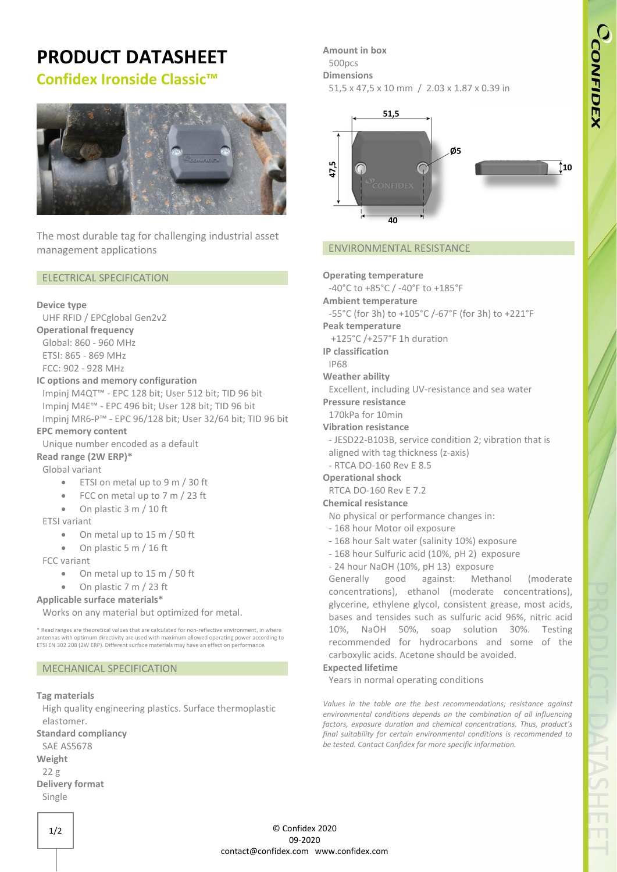# **PRODUCT DATASHEET**

# **Confidex Ironside Classic™**



The most durable tag for challenging industrial asset management applications

### ELECTRICAL SPECIFICATION

### **Device type**

UHF RFID / EPCglobal Gen2v2

### **Operational frequency**

Global: 860 - 960 MHz ETSI: 865 - 869 MHz FCC: 902 - 928 MHz

### **IC options and memory configuration**

Impinj M4QT™ - EPC 128 bit; User 512 bit; TID 96 bit Impinj M4E™ - EPC 496 bit; User 128 bit; TID 96 bit Impinj MR6-P™ - EPC 96/128 bit; User 32/64 bit; TID 96 bit

### **EPC memory content**

Unique number encoded as a default **Read range (2W ERP)\***

### Global variant

- ETSI on metal up to 9 m / 30 ft
- FCC on metal up to 7 m / 23 ft
- On plastic 3 m / 10 ft

### ETSI variant

- On metal up to 15 m / 50 ft
- On plastic 5 m / 16 ft
- FCC variant
	- On metal up to 15 m / 50 ft
	- On plastic 7 m / 23 ft

### **Applicable surface materials\***

Works on any material but optimized for metal.

\* Read ranges are theoretical values that are calculated for non-reflective environment, in where antennas with optimum directivity are used with maximum allowed operating power according to ETSI EN 302 208 (2W ERP). Different surface materials may have an effect on performance.

### MECHANICAL SPECIFICATION

### **Tag materials**

High quality engineering plastics. Surface thermoplastic elastomer.

**Standard compliancy**

- SAE AS5678
- **Weight**
- 22 g
- **Delivery format** Single

**Amount in box** 500pcs **Dimensions**

51,5 x 47,5 x 10 mm / 2.03 x 1.87 x 0.39 in



### ENVIRONMENTAL RESISTANCE

**Operating temperature**

- -40°C to +85°C / -40°F to +185°F
- **Ambient temperature**
- -55°C (for 3h) to +105°C /-67°F (for 3h) to +221°F
- **Peak temperature**
- +125°C /+257°F 1h duration

**IP classification**

### IP68

**Weather ability**

Excellent, including UV-resistance and sea water

**Pressure resistance**

- 170kPa for 10min
- **Vibration resistance**
- JESD22-B103B, service condition 2; vibration that is
- aligned with tag thickness (z-axis)
- RTCA DO-160 Rev E 8.5
- **Operational shock**

### RTCA DO-160 Rev E 7.2

## **Chemical resistance**

- No physical or performance changes in:
- 168 hour Motor oil exposure
- 168 hour Salt water (salinity 10%) exposure
- 168 hour Sulfuric acid (10%, pH 2) exposure
- 24 hour NaOH (10%, pH 13) exposure

Generally good against: Methanol (moderate concentrations), ethanol (moderate concentrations), glycerine, ethylene glycol, consistent grease, most acids, bases and tensides such as sulfuric acid 96%, nitric acid 10%, NaOH 50%, soap solution 30%. Testing recommended for hydrocarbons and some of the carboxylic acids. Acetone should be avoided.

### **Expected lifetime**

Years in normal operating conditions

*Values in the table are the best recommendations; resistance against environmental conditions depends on the combination of all influencing factors, exposure duration and chemical concentrations. Thus, product's final suitability for certain environmental conditions is recommended to be tested. Contact Confidex for more specific information.*

© Confidex 2020 09-2020